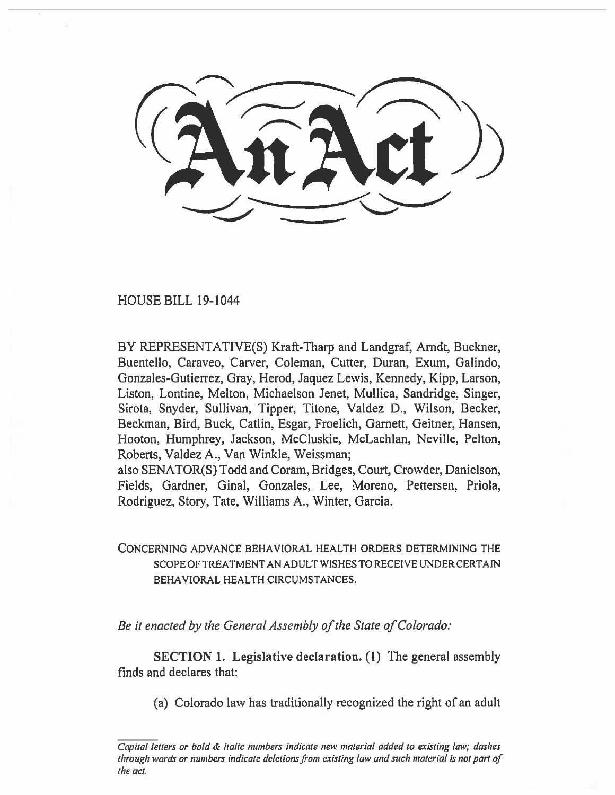HOUSE BILL 19-1044

BY REPRESENTATIVE(S) Kraft-Tharp and Landgraf, Arndt, Buckner, Buentello, Caraveo, Carver, Coleman, Cutter, Duran, Exum, Galindo, Gonzales-Gutierrez, Gray, Herod, Jaquez Lewis, Kennedy, Kipp, Larson, Liston, Lontine, Melton, Michaelson Jenet, Mullica, Sandridge, Singer, Sirota, Snyder, Sullivan, Tipper, Titone, Valdez D., Wilson, Becker, Beckman, Bird, Buck, Catlin, Esgar, Froelich, Garnett, Geitner, Hansen, Hooton, Humphrey, Jackson, McCluskie, McLachlan, Neville, Felton, Roberts, Valdez A., Van Winkle, Weissman;

also SENATOR(S) Todd and Coram, Bridges, Court, Crowder, Danielson, Fields, Gardner, Ginal, Gonzales, Lee, Moreno, Pettersen, Priola, Rodriguez, Story, Tate, Williams A., Winter, Garcia.

# CONCERNING ADVANCE BEHAVIORAL HEALTH ORDERS DETERMINING THE SCOPE OF TREATMENT AN ADULT WISHES TO RECEIVE UNDER CERTAIN BEHAVIORAL HEALTH CIRCUMSTANCES.

*Be it enacted by the General Assembly of the State of Colorado:* 

SECTION I. Legislative declaration. (1) The general assembly finds and declares that:

(a) Colorado law has traditionally recognized the right of an adult

Capital letters or bold & italic numbers indicate new material added to existing law; dashes through words or numbers indicate deletions from existing law and such material is not part of the act.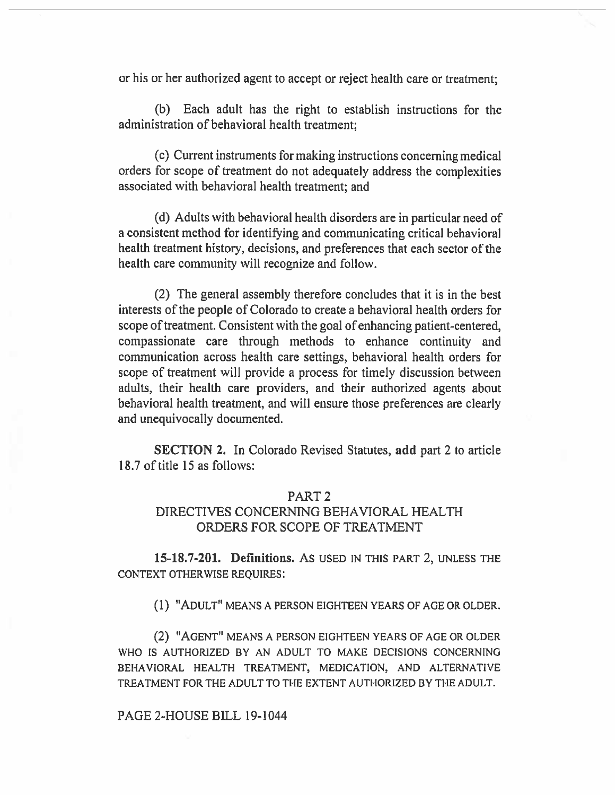or his or her authorized agent to accept or reject health care or treatment;

(b) Each adult has the right to establish instructions for the administration of behavioral health treatment;

(c) Current instruments for making instructions concerning medical orders for scope of treatment do not adequately address the complexities associated with behavioral health treatment; and

(d) Adults with behavioral health disorders are in particular need of a consistent method for identifying and communicating critical behavioral health treatment history, decisions, and preferences that each sector of the health care community will recognize and follow.

(2) The general assembly therefore concludes that it is in the best interests of the people of Colorado to create a behavioral health orders for scope of treatment. Consistent with the goal of enhancing patient-centered, compassionate care through methods to enhance continuity and communication across health care settings, behavioral health orders for scope of treatment will provide a process for timely discussion between adults, their health care providers, and their authorized agents about behavioral health treatment, and will ensure those preferences are clearly and unequivocally documented.

SECTION 2. In Colorado Revised Statutes, **add** part 2 to article 18.7 of title 15 as follows:

## PART 2

## DIRECTIVES CONCERNING BEHAVIORAL HEALTH ORDERS FOR SCOPE OF TREATMENT

**15-18.7-201. Definitions.** As USED IN THIS PART 2, UNLESS THE CONTEXT OTHERWISE REQUIRES:

(1) "ADULT" MEANS A PERSON EIGHTEEN YEARS OF AGE OR OLDER.

(2) "AGENT" MEANS A PERSON EIGHTEEN YEARS OF AGE OR OLDER WHO IS AUTHORIZED BY AN ADULT TO MAKE DECISIONS CONCERNING BEHAVIORAL HEALTH TREATMENT, MEDICATION, AND ALTERNATIVE TREATMENT FOR THE ADULT TO THE EXTENT AUTHORIZED BY THE ADULT.

#### PAGE 2-HOUSE BILL 19-1044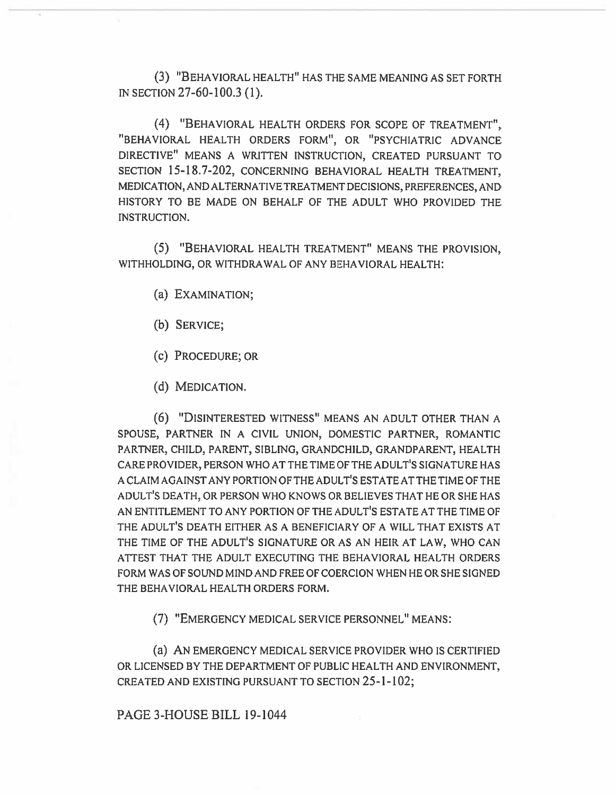(3) "BEHAVIORAL HEALTH" HAS THE SAME MEANING AS SET FORTH IN SECTION 27-60-100.3 (1).

(4) "BEHAVIORAL HEALTH ORDERS FOR SCOPE OF TREATMENT", "BEHAVIORAL HEALTH ORDERS FORM", OR "PSYCHIATRIC ADVANCE DIRECTIVE" MEANS A WRITTEN INSTRUCTION, CREATED PURSUANT TO SECTION 15-18.7-202, CONCERNING BEHAVIORAL HEALTH TREATMENT, MEDICATION, AND ALTERNATIVE TREATMENT DECISIONS, PREFERENCES, AND HISTORY TO BE MADE ON BEHALF OF THE ADULT WHO PROVIDED THE INSTRUCTION.

(5) "BEHAVIORAL HEALTH TREATMENT" MEANS THE PROVISION, WITHHOLDING, OR WITHDRAWAL OF ANY BEHAVIORAL HEALTH:

- (a) EXAMINATION;
- (b) SERVICE;
- (c) PROCEDURE; OR
- (d) MEDICATION.

(6) **"DISINTERESTED** WITNESS" MEANS AN ADULT OTHER THAN A SPOUSE, PARTNER IN A CIVIL UNION, DOMESTIC PARTNER, ROMANTIC PARTNER, CHILD, PARENT, SIBLING, GRANDCHILD, GRANDPARENT, HEALTH CARE PROVIDER, PERSON WHO AT THE TIME OF THE ADULT'S SIGNATURE HAS A CLAIM AGAINST ANY PORTION OF THE ADULT'S ESTATE AT THE TIME OF THE ADULT'S DEATH, OR PERSON WHO KNOWS OR BELIEVES THAT HE OR SHE HAS AN ENTITLEMENT TO ANY PORTION OF THE ADULT'S ESTATE AT THE TIME OF THE ADULT'S DEATH EITHER AS A BENEFICIARY OF A WILL THAT EXISTS AT THE TIME OF THE ADULT'S SIGNATURE OR AS AN HEIR AT LAW, WHO CAN ATTEST THAT THE ADULT EXECUTING THE BEHAVIORAL HEALTH ORDERS FORM WAS OF SOUND MIND AND FREE OF COERCION WHEN HE OR SHE SIGNED THE BEHAVIORAL HEALTH ORDERS FORM.

(7) "EMERGENCY MEDICAL SERVICE PERSONNEL" MEANS:

(a) AN EMERGENCY MEDICAL SERVICE PROVIDER WHO IS CERTIFIED OR LICENSED BY THE DEPARTMENT OF PUBLIC HEALTH AND ENVIRONMENT, CREATED AND EXISTING PURSUANT TO SECTION 25-1-102;

### PAGE 3-HOUSE BILL 19-1044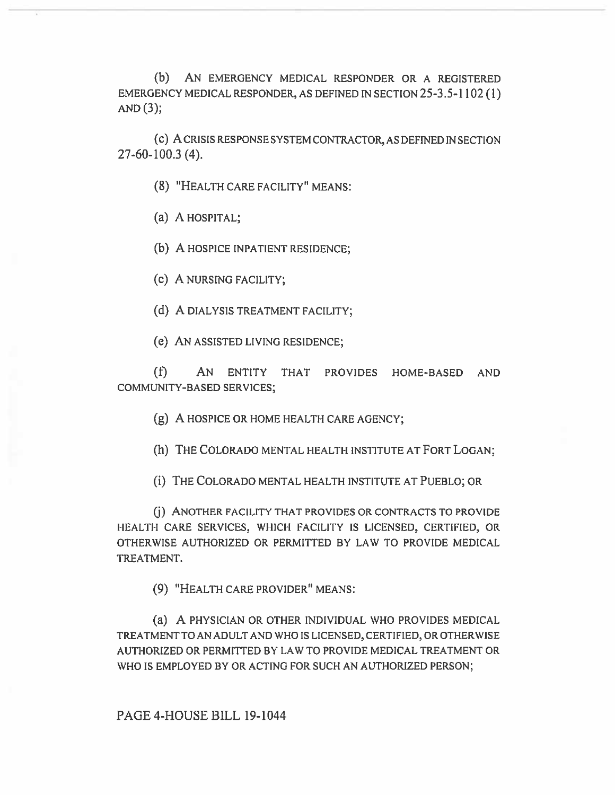(b) AN EMERGENCY MEDICAL RESPONDER OR A REGISTERED EMERGENCY MEDICAL RESPONDER, AS DEFINED IN SECTION 25-3.5-1102 (1) AND  $(3)$ ;

(c) A CRISIS RESPONSE SYSTEM CONTRACTOR, AS DEFINED IN SECTION 27-60-100.3 (4).

(8) "HEALTH CARE FACILITY" MEANS:

(a) A HOSPITAL;

(b) A HOSPICE INPATIENT RESIDENCE;

(c) A NURSING FACILITY;

(d) A DIALYSIS TREATMENT FACILITY;

(e) AN ASSISTED LIVING RESIDENCE;

(f) AN ENTITY THAT PROVIDES HOME-BASED AND COMMUNITY-BASED SERVICES;

(g) A HOSPICE **OR HOME** HEALTH CARE AGENCY;

(h) THE COLORADO MENTAL HEALTH INSTITUTE AT FORT LOGAN;

(i) THE COLORADO MENTAL HEALTH INSTITUTE AT PUEBLO; OR

(j) ANOTHER FACILITY THAT PROVIDES OR CONTRACTS TO PROVIDE HEALTH CARE SERVICES, WHICH FACILITY IS LICENSED, CERTIFIED, OR OTHERWISE AUTHORIZED OR PERMITTED BY LAW TO PROVIDE MEDICAL TREATMENT.

(9) "HEALTH CARE PROVIDER" MEANS:

(a) A PHYSICIAN OR OTHER INDIVIDUAL WHO PROVIDES MEDICAL TREATMENT TO AN ADULT AND WHO IS LICENSED, CERTIFIED, OR OTHERWISE AUTHORIZED OR PERMITTED BY LAW TO PROVIDE MEDICAL TREATMENT OR WHO IS EMPLOYED BY OR ACTING FOR SUCH AN AUTHORIZED PERSON;

PAGE 4-HOUSE **BILL** 19-1044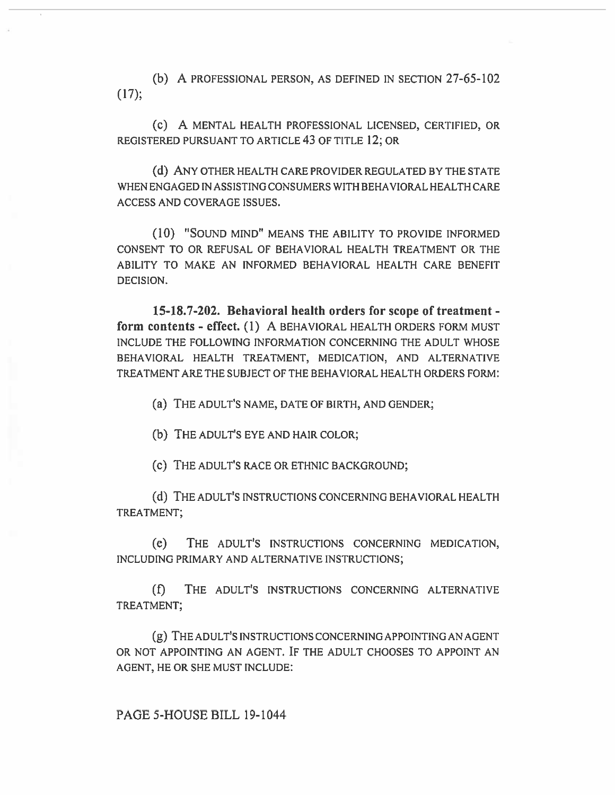(b) A PROFESSIONAL PERSON, AS DEFINED IN SECTION 27-65-102 (17);

(e) A MENTAL HEALTH PROFESSIONAL LICENSED, CERTIFIED, OR REGISTERED PURSUANT TO ARTICLE 43 **OF** TITLE 12; **OR** 

(d) ANY OTHER HEALTH CARE PROVIDER REGULATED BY THE STATE WHEN ENGAGED IN ASSISTING CONSUMERS WITH BEHAVIORAL HEALTH CARE ACCESS AND COVERAGE ISSUES.

(10) "SOUND MIND" MEANS THE ABILITY TO PROVIDE INFORMED CONSENT TO OR REFUSAL OF BEHAVIORAL HEALTH TREATMENT OR THE ABILITY TO MAKE AN INFORMED BEHAVIORAL HEALTH CARE BENEFIT DECISION.

**15-18.7-202. Behavioral health orders for scope of treatment form contents - effect. (1)** A BEHAVIORAL HEALTH ORDERS FORM MUST INCLUDE THE FOLLOWING INFORMATION CONCERNING THE ADULT WHOSE BEHAVIORAL HEALTH TREATMENT, MEDICATION, AND ALTERNATIVE TREATMENT ARE THE SUBJECT OF THE BEHAVIORAL HEALTH ORDERS FORM:

(a) THE ADULT'S NAME, DATE OF BIRTH, AND GENDER;

(b) THE ADULT'S EYE AND HAIR COLOR;

(c) THE ADULT'S RACE OR ETHNIC BACKGROUND;

(d) THE ADULT'S INSTRUCTIONS CONCERNING BEHAVIORAL HEALTH TREATMENT;

(e) THE ADULT'S INSTRUCTIONS CONCERNING MEDICATION, INCLUDING PRIMARY AND ALTERNATIVE INSTRUCTIONS;

(f) THE ADULT'S INSTRUCTIONS CONCERNING ALTERNATIVE TREATMENT;

**(g) THE ADULT'S** INSTRUCTIONS CONCERNING APPOINTING AN AGENT OR NOT APPOINTING AN AGENT. IF THE ADULT CHOOSES TO APPOINT AN AGENT, HE OR SHE MUST INCLUDE: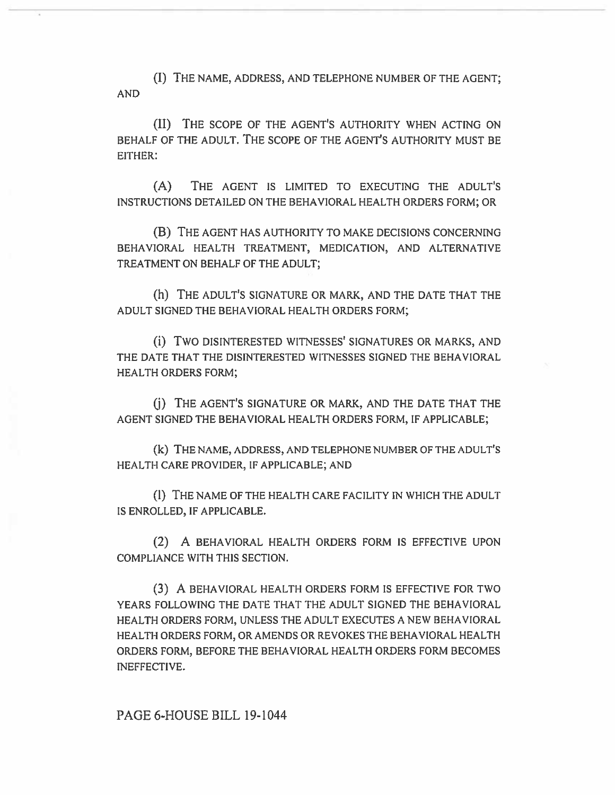(I) THE NAME, ADDRESS, AND TELEPHONE NUMBER OF THE AGENT; AND

(II) THE SCOPE OF THE AGENT'S AUTHORITY WHEN ACTING ON BEHALF OF THE ADULT. THE SCOPE OF THE AGENT'S AUTHORITY MUST BE EITHER:

(A) THE AGENT IS LIMITED TO EXECUTING THE ADULT'S INSTRUCTIONS DETAILED ON THE BEHAVIORAL HEALTH ORDERS FORM; OR

(B) THE AGENT HAS AUTHORITY TO MAKE DECISIONS CONCERNING BEHAVIORAL HEALTH TREATMENT, MEDICATION, AND ALTERNATIVE TREATMENT ON BEHALF OF THE ADULT;

(h) THE ADULT'S SIGNATURE OR MARK, AND THE DATE THAT THE ADULT SIGNED THE BEHAVIORAL HEALTH ORDERS FORM;

(1) TWO DISINTERESTED WITNESSES' SIGNATURES OR MARKS, AND THE DATE THAT THE DISINTERESTED WITNESSES SIGNED THE BEHAVIORAL HEALTH ORDERS FORM;

(j) THE AGENT'S SIGNATURE OR MARK, AND THE DATE THAT THE AGENT SIGNED THE BEHAVIORAL HEALTH ORDERS FORM, IF APPLICABLE;

(k) THE NAME, ADDRESS, AND TELEPHONE NUMBER OF THE ADULT'S HEALTH CARE PROVIDER, IF APPLICABLE; AND

**(1) THE** NAME OF THE HEALTH CARE FACILITY IN WHICH THE ADULT IS ENROLLED, IF APPLICABLE.

(2) A BEHAVIORAL HEALTH ORDERS FORM IS EFFECTIVE UPON COMPLIANCE WITH THIS SECTION.

(3) A BEHAVIORAL HEALTH ORDERS FORM IS EFFECTIVE **FOR** TWO YEARS FOLLOWING THE DATE THAT THE ADULT SIGNED THE BEHAVIORAL HEALTH ORDERS FORM, UNLESS THE ADULT EXECUTES A NEW BEHAVIORAL HEALTH ORDERS FORM, OR AMENDS OR REVOKES THE BEHAVIORAL HEALTH ORDERS FORM, BEFORE THE BEHAVIORAL HEALTH **ORDERS** FORM BECOMES INEFFECTIVE.

PAGE 6-HOUSE BILL 19-1044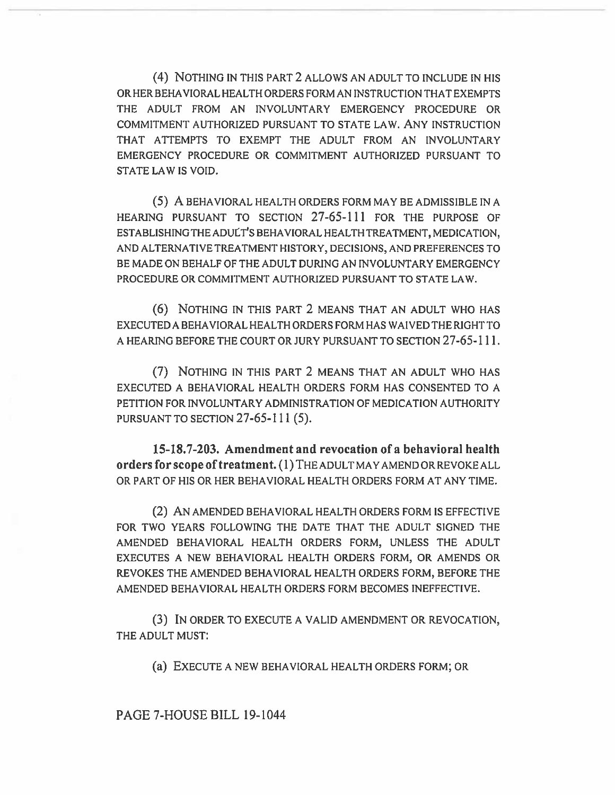(4) NOTHING IN THIS PART 2 ALLOWS AN ADULT TO INCLUDE IN HIS OR HER BEHAVIORAL HEALTH ORDERS FORM AN INSTRUCTION THAT EXEMPTS THE ADULT FROM AN INVOLUNTARY EMERGENCY PROCEDURE OR COMMITMENT AUTHORIZED PURSUANT TO STATE LAW. ANY INSTRUCTION THAT ATTEMPTS TO EXEMPT THE ADULT FROM AN INVOLUNTARY EMERGENCY PROCEDURE OR COMMITMENT AUTHORIZED PURSUANT TO STATE LAW IS VOID.

(5) A BEHAVIORAL HEALTH ORDERS FORM MAY BE ADMISSIBLE IN A HEARING PURSUANT TO SECTION 27-65-111 FOR THE PURPOSE OF ESTABLISHING THE ADULT'S BEHAVIORAL HEALTH TREATMENT, MEDICATION, AND ALTERNATIVE TREATMENT HISTORY, DECISIONS, AND PREFERENCES TO BE MADE ON BEHALF OF THE ADULT DURING AN INVOLUNTARY EMERGENCY PROCEDURE OR COMMITMENT AUTHORIZED PURSUANT TO STATE LAW.

(6) NOTHING IN THIS PART 2 MEANS THAT AN ADULT WHO HAS EXECUTED A BEHAVIORAL HEALTH ORDERS FORM HAS WAIVED THE RIGHT TO A HEARING BEFORE THE COURT OR JURY PURSUANT TO SECTION 27-65-111.

(7) NOTHING IN THIS PART 2 MEANS THAT AN ADULT WHO HAS EXECUTED A BEHAVIORAL HEALTH ORDERS FORM HAS CONSENTED TO A PETITION FOR INVOLUNTARY ADMINISTRATION OF MEDICATION AUTHORITY PURSUANT TO SECTION 27-65-111 (5).

**15-18.7-203. Amendment and revocation of a behavioral health orders for scope of treatment. (1)** THE ADULT MAY AMEND OR REVOKE ALL OR PART OF HIS OR HER BEHAVIORAL HEALTH ORDERS FORM AT ANY TIME.

(2) AN AMENDED BEHAVIORAL HEALTH ORDERS FORM IS EFFECTIVE FOR TWO YEARS FOLLOWING THE DATE THAT THE ADULT SIGNED THE AMENDED BEHAVIORAL HEALTH ORDERS FORM, UNLESS THE ADULT EXECUTES A NEW BEHAVIORAL HEALTH ORDERS FORM, OR AMENDS OR REVOKES THE AMENDED BEHAVIORAL HEALTH ORDERS FORM, BEFORE THE AMENDED BEHAVIORAL HEALTH ORDERS FORM BECOMES INEFFECTIVE.

(3) IN ORDER TO EXECUTE A VALID AMENDMENT OR REVOCATION, THE ADULT MUST:

(a) EXECUTE A NEW BEHAVIORAL HEALTH ORDERS FORM; OR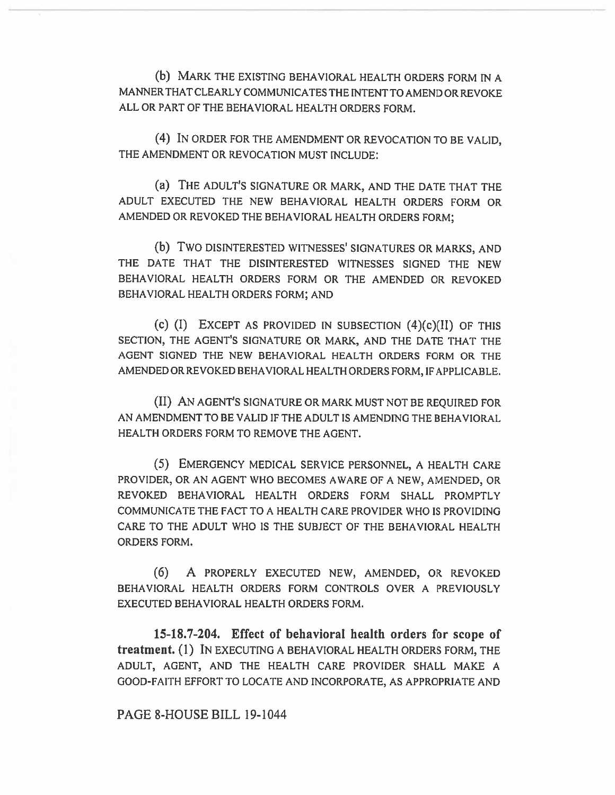(b) MARK THE EXISTING BEHAVIORAL HEALTH ORDERS FORM IN A MANNER THAT CLEARLY COMMUNICATES THE INTENT TO AMEND OR REVOKE ALL OR PART OF THE BEHAVIORAL HEALTH ORDERS FORM.

(4) IN ORDER FOR THE AMENDMENT OR REVOCATION TO BE VALID, THE AMENDMENT OR REVOCATION MUST INCLUDE:

(a) THE ADULT'S SIGNATURE OR MARK, AND THE DATE THAT THE ADULT EXECUTED THE NEW BEHAVIORAL HEALTH ORDERS FORM OR AMENDED OR REVOKED THE BEHAVIORAL HEALTH ORDERS FORM;

(b) Two DISINTERESTED WITNESSES' SIGNATURES OR MARKS, AND THE DATE THAT THE DISINTERESTED WITNESSES SIGNED THE NEW BEHAVIORAL HEALTH ORDERS FORM OR THE AMENDED OR REVOKED BEHAVIORAL HEALTH ORDERS FORM; AND

(c)  $(I)$  EXCEPT AS PROVIDED IN SUBSECTION  $(4)(c)(II)$  OF THIS SECTION, THE AGENT'S SIGNATURE OR MARK, AND THE DATE THAT THE AGENT SIGNED THE NEW BEHAVIORAL HEALTH ORDERS FORM OR THE AMENDED OR REVOKED BEHAVIORAL HEALTH ORDERS FORM, IF APPLICABLE.

(II) AN AGENT'S SIGNATURE OR MARK MUST NOT BE REQUIRED FOR AN AMENDMENT TO BE VALID IF THE ADULT IS AMENDING THE BEHAVIORAL HEALTH ORDERS FORM TO REMOVE THE AGENT.

(5) EMERGENCY MEDICAL SERVICE PERSONNEL, A HEALTH CARE PROVIDER, OR AN AGENT WHO BECOMES AWARE OF A NEW, AMENDED, OR REVOKED BEHAVIORAL HEALTH ORDERS FORM SHALL PROMPTLY COMMUNICATE THE FACT TO A HEALTH CARE PROVIDER WHO IS PROVIDING CARE TO THE ADULT WHO IS THE SUBJECT OF THE BEHAVIORAL HEALTH ORDERS FORM.

(6) A PROPERLY EXECUTED NEW, AMENDED, OR REVOKED BEHAVIORAL HEALTH ORDERS FORM CONTROLS OVER A PREVIOUSLY EXECUTED BEHAVIORAL HEALTH ORDERS FORM.

**15-18.7-204. Effect of behavioral health orders for scope of treatment. (1)** IN EXECUTING A BEHAVIORAL HEALTH ORDERS FORM, THE ADULT, AGENT, AND THE HEALTH CARE PROVIDER SHALL MAKE A GOOD-FAITH EFFORT TO LOCATE AND INCORPORATE, AS APPROPRIATE AND

### PAGE 8-HOUSE BILL 19-1044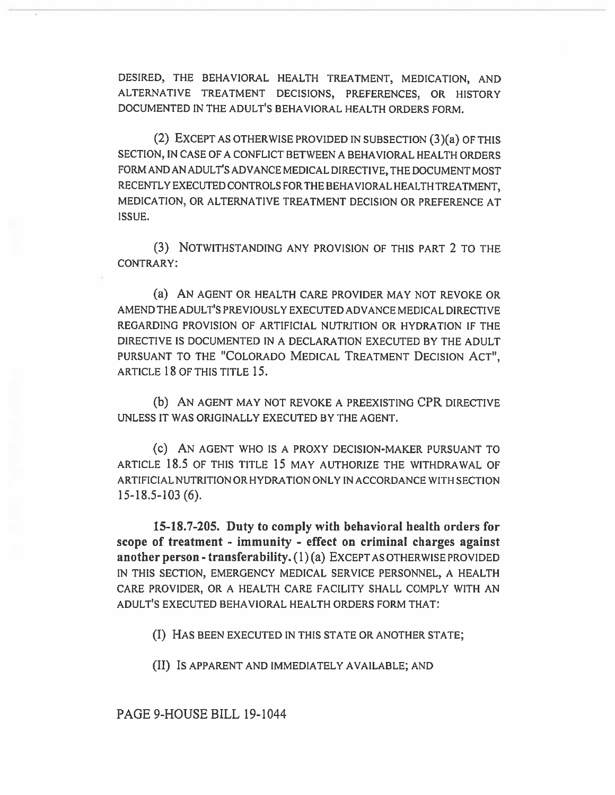DESIRED, THE BEHAVIORAL HEALTH TREATMENT, MEDICATION, AND ALTERNATIVE TREATMENT DECISIONS, PREFERENCES, OR HISTORY DOCUMENTED IN THE ADULT'S BEHAVIORAL HEALTH ORDERS FORM.

(2) EXCEPT AS OTHERWISE PROVIDED IN SUBSECTION (3)(a) OF THIS SECTION, IN CASE OF A CONFLICT BETWEEN A BEHAVIORAL HEALTH ORDERS FORM AND AN ADULT'S ADVANCE MEDICAL DIRECTIVE, THE DOCUMENT MOST RECENTLY EXECUTED CONTROLS FOR THE BEHAVIORAL HEALTH TREATMENT, MEDICATION, OR ALTERNATIVE TREATMENT DECISION OR PREFERENCE AT ISSUE.

(3) NOTWITHSTANDING ANY PROVISION OF THIS PART 2 TO THE CONTRARY:

(a) AN AGENT OR HEALTH CARE PROVIDER MAY NOT REVOKE OR AMEND THE ADULT'S PREVIOUSLY EXECUTED ADVANCE MEDICAL DIRECTIVE REGARDING PROVISION OF ARTIFICIAL NUTRITION OR HYDRATION IF THE DIRECTIVE IS DOCUMENTED IN A DECLARATION EXECUTED BY THE ADULT PURSUANT TO THE "COLORADO MEDICAL TREATMENT DECISION ACT", ARTICLE 18 OF THIS TITLE 15.

(b) AN AGENT MAY NOT REVOKE A PREEXISTING CPR DIRECTIVE UNLESS IT WAS ORIGINALLY EXECUTED BY THE AGENT.

(c) AN AGENT WHO IS A PROXY DECISION-MAKER PURSUANT TO ARTICLE 18.5 OF THIS TITLE 15 MAY AUTHORIZE THE WITHDRAWAL OF ARTIFICIALNUTRITION OR HYDRATION ONLY IN ACCORDANCE WITH SECTION 15-18.5-103 (6).

15-18.7-205. Duty to comply with behavioral health orders for scope of treatment - immunity - effect on criminal charges against another person - transferability. (1) (a) EXCEPT AS OTHERWISE PROVIDED IN THIS SECTION, EMERGENCY MEDICAL SERVICE PERSONNEL, A HEALTH CARE PROVIDER, OR A HEALTH CARE FACILITY SHALL COMPLY WITH AN ADULT'S EXECUTED BEHAVIORAL HEALTH ORDERS FORM THAT:

(I) HAS BEEN EXECUTED IN THIS STATE OR ANOTHER STATE;

(II) IS APPARENT AND IMMEDIATELY AVAILABLE; AND

PAGE 9-HOUSE BILL 19-1044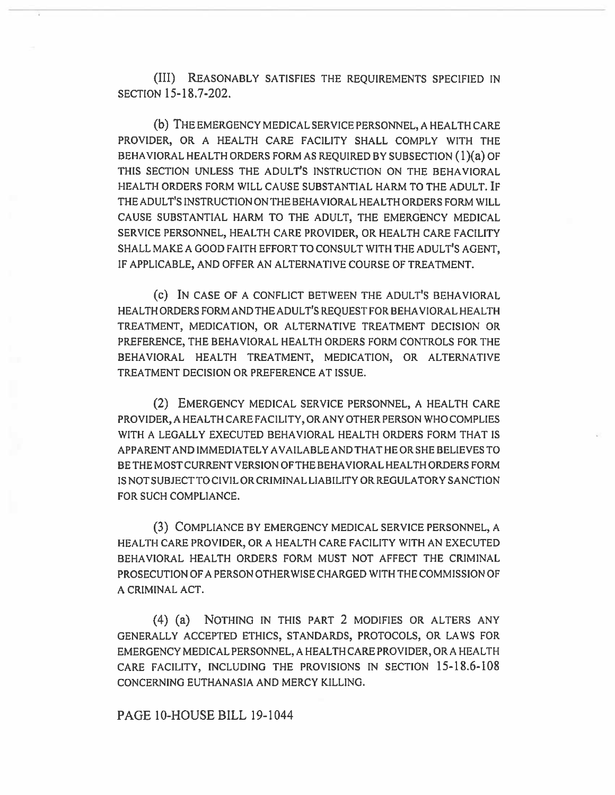(III) REASONABLY SATISFIES THE REQUIREMENTS SPECIFIED IN SECTION 15-18.7-202.

(b) THE EMERGENCY MEDICAL SERVICE PERSONNEL, A HEALTH CARE PROVIDER, OR A HEALTH CARE FACILITY SHALL COMPLY WITH THE BEHAVIORAL HEALTH ORDERS FORM AS REQUIRED BY SUBSECTION (1)(a) OF THIS SECTION UNLESS THE ADULT'S INSTRUCTION ON THE BEHAVIORAL HEALTH ORDERS FORM WILL CAUSE SUBSTANTIAL HARM TO THE ADULT. IF THE ADULT'S INSTRUCTION ON THE BEHAVIORAL HEALTH ORDERS FORM WILL CAUSE SUBSTANTIAL HARM TO THE ADULT, THE EMERGENCY MEDICAL SERVICE PERSONNEL, HEALTH CARE PROVIDER, OR HEALTH CARE FACILITY SHALL MAKE A GOOD FAITH EFFORT TO CONSULT WITH THE ADULT'S AGENT, IF APPLICABLE, AND OFFER AN ALTERNATIVE COURSE OF TREATMENT.

(e) IN CASE OF A CONFLICT BETWEEN THE ADULT'S BEHAVIORAL HEALTH ORDERS FORM AND THE ADULT'S REQUEST FOR BEHAVIORAL HEALTH TREATMENT, MEDICATION, OR ALTERNATIVE TREATMENT DECISION OR PREFERENCE, THE BEHAVIORAL HEALTH ORDERS FORM CONTROLS FOR THE BEHAVIORAL HEALTH TREATMENT, MEDICATION, OR ALTERNATIVE TREATMENT DECISION OR PREFERENCE AT ISSUE.

(2) EMERGENCY MEDICAL SERVICE PERSONNEL, A HEALTH CARE PROVIDER, A HEALTH CARE FACILITY, OR ANY OTHER PERSON WHO COMPLIES WITH A LEGALLY EXECUTED BEHAVIORAL HEALTH ORDERS FORM THAT IS APPARENT AND IMMEDIATELY AVAILABLE AND THAT HE OR SHE BELIEVES TO BE THE MOST CURRENT VERSION OF THE BEHAVIORAL HEALTH ORDERS FORM IS NOT SUBJECT TO CIVIL OR CRIMINAL LIABILITY OR REGULATORY SANCTION FOR SUCH COMPLIANCE.

(3) COMPLIANCE BY EMERGENCY MEDICAL SERVICE PERSONNEL, A HEALTH CARE PROVIDER, OR A HEALTH CARE FACILITY WITH AN EXECUTED BEHAVIORAL HEALTH ORDERS FORM MUST NOT AFFECT THE CRIMINAL PROSECUTION OF A PERSON OTHERWISE CHARGED WITH THE COMMISSION OF A CRIMINAL ACT.

(4) (a) NOTHING IN THIS PART 2 MODIFIES OR ALTERS ANY GENERALLY ACCEPTED ETHICS, STANDARDS, PROTOCOLS, OR LAWS FOR EMERGENCY MEDICAL PERSONNEL, A HEALTH CARE PROVIDER, OR A HEALTH CARE FACILITY, INCLUDING THE PROVISIONS IN SECTION 15-18.6-108 CONCERNING EUTHANASIA AND MERCY KILLING.

#### PAGE 10-HOUSE BILL 19-1044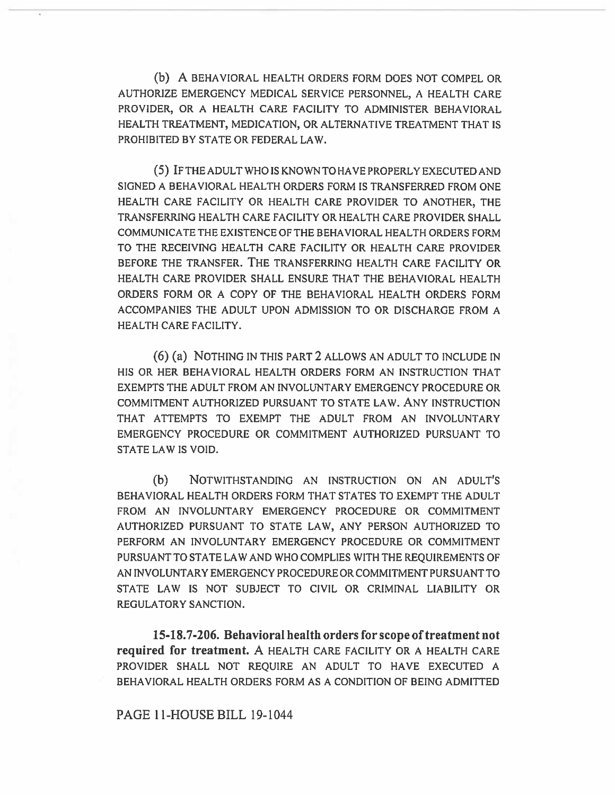**(b) A** BEHAVIORAL HEALTH ORDERS FORM DOES NOT COMPEL OR AUTHORIZE EMERGENCY MEDICAL SERVICE PERSONNEL, A HEALTH CARE PROVIDER, OR A HEALTH CARE FACILITY TO ADMINISTER BEHAVIORAL HEALTH TREATMENT, MEDICATION, OR ALTERNATIVE TREATMENT THAT IS PROHIBITED BY STATE OR FEDERAL LAW.

(5) IF THE ADULT WHO IS KNOWN TO HAVE PROPERLY EXECUTED AND SIGNED A BEHAVIORAL HEALTH ORDERS FORM IS TRANSFERRED FROM ONE HEALTH CARE FACILITY OR HEALTH CARE PROVIDER TO ANOTHER, THE TRANSFERRING HEALTH CARE FACILITY OR HEALTH CARE PROVIDER SHALL COMMUNICATE THE EXISTENCE OF THE BEHAVIORAL HEALTH ORDERS FORM TO THE RECEIVING HEALTH CARE FACILITY OR HEALTH CARE PROVIDER BEFORE THE TRANSFER. THE TRANSFERRING HEALTH CARE FACILITY OR HEALTH CARE PROVIDER SHALL ENSURE THAT THE BEHAVIORAL HEALTH ORDERS FORM OR A COPY OF THE BEHAVIORAL HEALTH ORDERS FORM ACCOMPANIES THE ADULT UPON ADMISSION TO OR DISCHARGE FROM A HEALTH CARE FACILITY.

(6) (a) NOTHING IN THIS PART **2** ALLOWS AN ADULT TO INCLUDE IN HIS OR HER BEHAVIORAL HEALTH ORDERS FORM AN INSTRUCTION THAT EXEMPTS THE ADULT FROM AN INVOLUNTARY EMERGENCY PROCEDURE OR COMMITMENT AUTHORIZED PURSUANT TO STATE LAW. ANY INSTRUCTION THAT ATTEMPTS TO EXEMPT THE ADULT FROM AN INVOLUNTARY EMERGENCY PROCEDURE OR COMMITMENT AUTHORIZED PURSUANT TO STATE LAW IS VOID.

**(b)** NOTWITHSTANDING AN INSTRUCTION ON AN ADULT'S BEHAVIORAL HEALTH ORDERS FORM THAT STATES TO EXEMPT THE ADULT FROM AN INVOLUNTARY EMERGENCY PROCEDURE OR COMMITMENT AUTHORIZED PURSUANT TO STATE LAW, ANY PERSON AUTHORIZED **TO**  PERFORM AN INVOLUNTARY EMERGENCY PROCEDURE OR COMMITMENT PURSUANT TO STATE LAW AND WHO COMPLIES WITH THE REQUIREMENTS OF AN INVOLUNTARY EMERGENCY PROCEDURE OR COMMITMENT PURSUANT TO STATE LAW IS NOT SUBJECT TO CIVIL OR CRIMINAL LIABILITY OR REGULATORY SANCTION.

**15-18.7-206. Behavioral health orders for scope of treatment not required for treatment. A** HEALTH CARE FACILITY OR A HEALTH CARE PROVIDER SHALL NOT REQUIRE AN ADULT TO HAVE EXECUTED A BEHAVIORAL HEALTH ORDERS FORM AS A CONDITION OF BEING ADMITTED

#### **PAGE 11-HOUSE BILL** 19-1044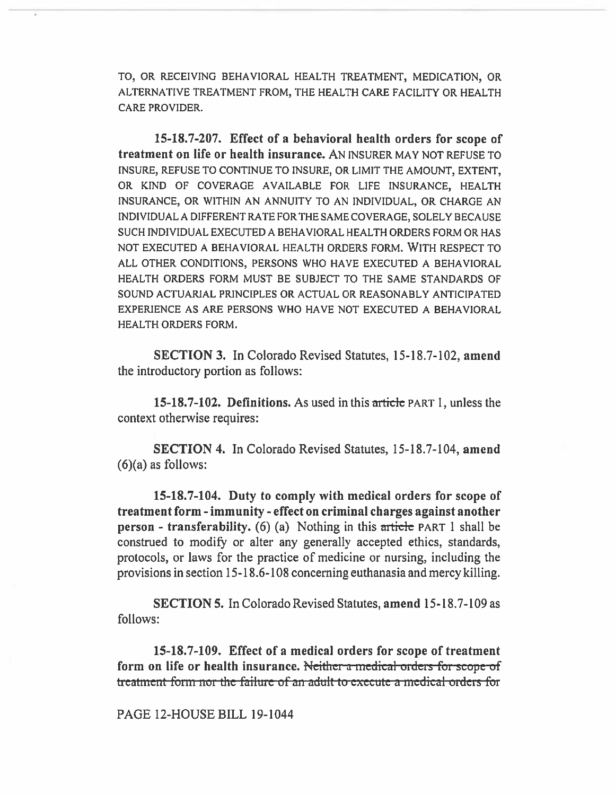TO, OR RECEIVING BEHAVIORAL HEALTH TREATMENT, MEDICATION, OR ALTERNATIVE TREATMENT FROM, THE HEALTH CARE FACILITY OR HEALTH CARE PROVIDER.

**15-18.7-207. Effect of a behavioral health orders for scope of treatment on life or health insurance.** AN INSURER MAY NOT REFUSE TO INSURE, REFUSE TO CONTINUE TO INSURE, OR LIMIT THE AMOUNT, EXTENT, OR KIND OF COVERAGE AVAILABLE FOR LIFE INSURANCE, HEALTH INSURANCE, OR WITHIN AN ANNUITY TO AN INDIVIDUAL, OR CHARGE AN INDIVIDUAL A DIFFERENT RATE FOR THE SAME COVERAGE, SOLELY BECAUSE SUCH INDIVIDUAL EXECUTED A BEHAVIORAL HEALTH ORDERS FORM OR HAS NOT EXECUTED A BEHAVIORAL HEALTH ORDERS FORM. WITH RESPECT TO ALL OTHER CONDITIONS, PERSONS WHO HAVE EXECUTED A BEHAVIORAL HEALTH ORDERS FORM MUST BE SUBJECT TO THE SAME STANDARDS OF SOUND ACTUARIAL PRINCIPLES OR ACTUAL OR REASONABLY ANTICIPATED EXPERIENCE AS ARE PERSONS WHO HAVE NOT EXECUTED A BEHAVIORAL HEALTH ORDERS FORM.

**SECTION 3. In Colorado Revised Statutes, 15-18.7-102, amend the introductory portion as follows:** 

**15-18.7-102. Definitions. As used in this article** PART 1, **unless the context otherwise requires:** 

**SECTION 4. In Colorado Revised Statutes, 15-18.7-104, amend (6)(a) as follows:** 

**15-18.7-104. Duty to comply with medical orders for scope of treatment form - immunity - effect on criminal charges against another person - transferability.** (6) (a) Nothing in this article PART 1 shall be construed to modify or alter any generally accepted ethics, standards, protocols, or laws for the practice of medicine or nursing, including the provisions in section 15-18.6-108 concerning euthanasia and mercy killing.

**SECTION 5. In** Colorado Revised Statutes, **amend 15-18.7-109 as follows:** 

**15-18.7-109. Effect of a medical orders for scope of treatment form on life or health insurance.** Neither a medical orders for scope of **treatment-form nor the failure of an adult to execute a medical orders for** 

PAGE 12-HOUSE **BILL 19-1044**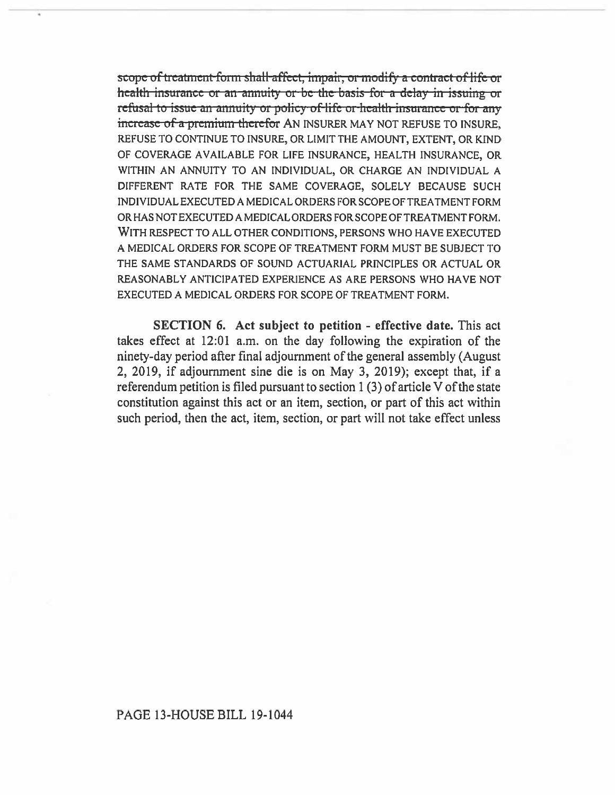scope of treatment form shall-affect, impair, or modify a contract of life or health insurance or an annuity or be the basis-for a delay in issuing or refusal to issue an annuity or policy of life or health insurance or for any increase of a premium therefor AN INSURER MAY NOT REFUSE TO INSURE. REFUSE TO CONTINUE TO INSURE, OR LIMIT THE AMOUNT, EXTENT, OR KIND OF COVERAGE AVAILABLE FOR LIFE INSURANCE, HEALTH INSURANCE, OR WITHIN AN ANNUITY TO AN INDIVIDUAL, OR CHARGE AN INDIVIDUAL A DIFFERENT RATE FOR THE SAME COVERAGE, SOLELY BECAUSE SUCH INDIVIDUAL EXECUTED A MEDICAL ORDERS FOR SCOPE OF TREATMENT FORM OR HAS NOT EXECUTED A MEDICAL ORDERS FOR SCOPE OF TREATMENT FORM. WITH RESPECT TO ALL OTHER CONDITIONS, PERSONS WHO HAVE EXECUTED A MEDICAL ORDERS FOR SCOPE OF TREATMENT FORM MUST BE SUBJECT TO THE SAME STANDARDS OF SOUND ACTUARIAL PRINCIPLES OR ACTUAL OR REASONABLY ANTICIPATED EXPERIENCE AS ARE PERSONS WHO HAVE NOT EXECUTED A MEDICAL ORDERS FOR SCOPE OF TREATMENT FORM.

SECTION 6. Act subject to petition - effective date. This act takes effect at 12:01 a.m. on the day following the expiration of the ninety-day period after final adjournment of the general assembly (August 2, 2019, if adjournment sine die is on May 3, 2019); except that, if a referendum petition is filed pursuant to section 1 (3) of article V of the state constitution against this act or an item, section, or part of this act within such period, then the act, item, section, or part will not take effect unless